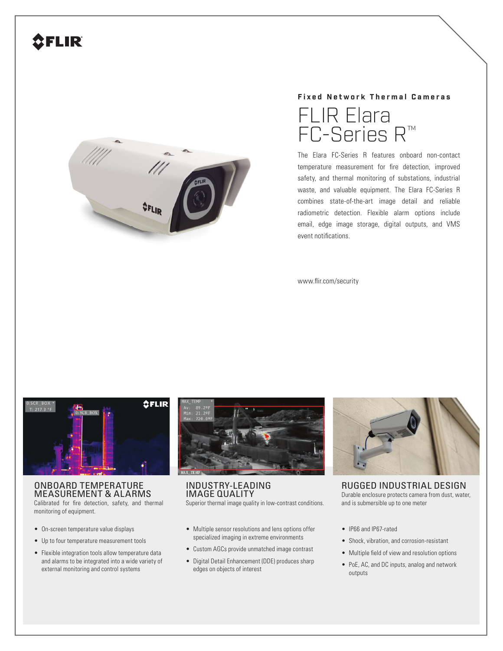# **SFLIR**



## **Fixed Network Thermal Cameras**



The Elara FC-Series R features onboard non-contact temperature measurement for fire detection, improved safety, and thermal monitoring of substations, industrial waste, and valuable equipment. The Elara FC-Series R combines state-of-the-art image detail and reliable radiometric detection. Flexible alarm options include email, edge image storage, digital outputs, and VMS event notifications.

www.flir.com/security



## ONBOARD TEMPERATURE MEASUREMENT & ALARMS

Calibrated for fire detection, safety, and thermal monitoring of equipment.

- On-screen temperature value displays
- Up to four temperature measurement tools
- Flexible integration tools allow temperature data and alarms to be integrated into a wide variety of external monitoring and control systems



INDUSTRY-LEADING IMAGE QUALITY Superior thermal image quality in low-contrast conditions.

- Multiple sensor resolutions and lens options offer specialized imaging in extreme environments
- Custom AGCs provide unmatched image contrast
- Digital Detail Enhancement (DDE) produces sharp edges on objects of interest



RUGGED INDUSTRIAL DESIGN Durable enclosure protects camera from dust, water, and is submersible up to one meter

- IP66 and IP67-rated
- Shock, vibration, and corrosion-resistant
- Multiple field of view and resolution options
- PoE, AC, and DC inputs, analog and network outputs